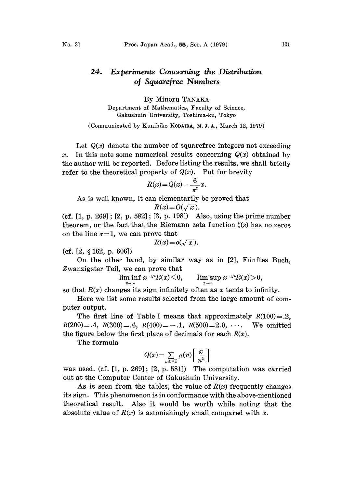## $24.$ Experiments Concerning the Distribution of Squarefree Numbers

By Minoru TANAKA Department of Mathematics, Faculty of Science, Gakushuin University, Toshima-ku, Tokyo

(Communicated by Kunihiko KODAIRA, M. J. A., March 12, 1979)

Let  $Q(x)$  denote the number of squarefree integers not exceeding x. In this note some numerical results concerning  $Q(x)$  obtained by the author will be reported. Before listing the results, we shall briefly refer to the theoretical property of  $Q(x)$ . Put for brevity

$$
R(x) = Q(x) - \frac{6}{\pi^2}x.
$$

As is well known, it can elementarily be proved that

$$
R(x) = O(\sqrt{x}).
$$

(cf. [1, p. 269]; [2, p. 582]; [3, p. 198]) Also, using the prime number theorem, or the fact that the Riemann zeta function  $\zeta(s)$  has no zeros on the line  $\sigma = 1$ , we can prove that

$$
R(x) = o(\sqrt{x}).
$$

 $(cf. [2, § 162, p. 606])$ 

On the other hand, by similar way as in  $[2]$ , Fünftes Buch, Zwanzigster Teil, we can prove that

lim inf  $x^{-1/4}R(x) \le 0$ , lim sup  $x^{-1/4}R(x) > 0$ ,

so that  $R(x)$  changes its sign infinitely often as x tends to infinity.

Here we list some results selected from the large amount of computer output.

The first line of Table I means that approximately  $R(100) = .2$ ,  $R(200)=.4$ ,  $R(300)=.6$ ,  $R(400)=-.1$ ,  $R(500)=2.0$ ,  $\cdots$  We omitted the figure below the first place of decimals for each  $R(x)$ .

The formula

$$
Q(x) = \sum_{n \leq \sqrt{x}} \mu(n) \left[ \frac{x}{n^2} \right]
$$

was used. (cf. [1, p. 269]; [2, p. 581]) The computation was carried out at the Computer Center of Gakushuin University.

As is seen from the tables, the value of  $R(x)$  frequently changes its sign. This phenomenon is in conformance with the above-mentioned theoretical result. Also it would be worth while noting that the absolute value of  $R(x)$  is astonishingly small compared with x.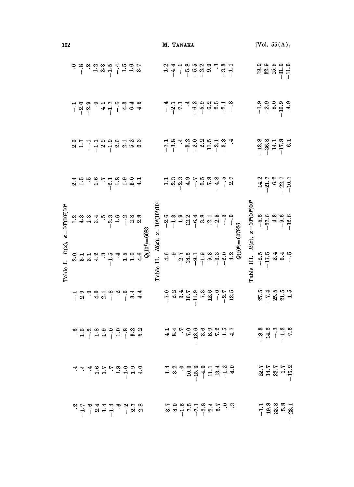| 102                  |  |  |                                                                                                                                                                                                                                                                                                                                                                                                                                                                          |  |  |                                                                               |                                   | M. TANAKA |  |  |                                                                                                                                                                                                                                                                                                                                                                                                                                                                                                                                                                                                                                                                                  |  |                                                                                                                                                 |                                        | [Vol. $55(A)$ ,          |  |                                                                                                                                                                                                                                                                                                                                     |                                                                                                                 |
|----------------------|--|--|--------------------------------------------------------------------------------------------------------------------------------------------------------------------------------------------------------------------------------------------------------------------------------------------------------------------------------------------------------------------------------------------------------------------------------------------------------------------------|--|--|-------------------------------------------------------------------------------|-----------------------------------|-----------|--|--|----------------------------------------------------------------------------------------------------------------------------------------------------------------------------------------------------------------------------------------------------------------------------------------------------------------------------------------------------------------------------------------------------------------------------------------------------------------------------------------------------------------------------------------------------------------------------------------------------------------------------------------------------------------------------------|--|-------------------------------------------------------------------------------------------------------------------------------------------------|----------------------------------------|--------------------------|--|-------------------------------------------------------------------------------------------------------------------------------------------------------------------------------------------------------------------------------------------------------------------------------------------------------------------------------------|-----------------------------------------------------------------------------------------------------------------|
|                      |  |  |                                                                                                                                                                                                                                                                                                                                                                                                                                                                          |  |  |                                                                               |                                   |           |  |  |                                                                                                                                                                                                                                                                                                                                                                                                                                                                                                                                                                                                                                                                                  |  |                                                                                                                                                 |                                        | $9.389000$<br>$9.899000$ |  |                                                                                                                                                                                                                                                                                                                                     |                                                                                                                 |
|                      |  |  | $\begin{array}{c c c c c c} \hline \multicolumn{3}{c }{\multicolumn{3}{c }{\multicolumn{3}{c}{\multicolumn{3}{c}{\multicolumn{3}{c}{\multicolumn{3}{c}{\multicolumn{3}{c}{\multicolumn{3}{c}{\multicolumn{3}{c}{\multicolumn{3}{c}{\multicolumn{3}{c}{\multicolumn{3}{c}{\multicolumn{3}{c}{\multicolumn{3}{c}{\multicolumn{3}{c}{\multicolumn{3}{c}{\multicolumn{3}{c}{\multicolumn{3}{c}{\multicolumn{3}{c}{\multicolumn{3}{c}{\multicolumn{3}{c}{\multicolumn{3}{c}{$ |  |  |                                                                               |                                   |           |  |  |                                                                                                                                                                                                                                                                                                                                                                                                                                                                                                                                                                                                                                                                                  |  |                                                                                                                                                 |                                        |                          |  | $\begin{array}{c} 0.9 & 0.9 & 0.9 \\ -1 & 0.9 & 0.9 \\ -1 & 0 & 0.9 \\ -1 & 0 & 0.9 \\ -1 & 0 & 0.9 \\ -1 & 0 & 0.9 \\ -1 & 0 & 0.9 \\ -1 & 0 & 0.9 \\ -1 & 0 & 0.9 \\ -1 & 0 & 0.9 \\ -1 & 0 & 0.9 \\ -1 & 0 & 0.9 \\ -1 & 0 & 0.9 \\ -1 & 0 & 0.9 \\ -1 & 0 & 0.9 \\ -1 & 0 & 0.9 \\ -1 & 0 & 0.9 \\ -1 & 0 & 0.9 \\ -1 & 0 & 0.$ |                                                                                                                 |
|                      |  |  |                                                                                                                                                                                                                                                                                                                                                                                                                                                                          |  |  |                                                                               |                                   |           |  |  |                                                                                                                                                                                                                                                                                                                                                                                                                                                                                                                                                                                                                                                                                  |  |                                                                                                                                                 |                                        |                          |  | $-13.8$<br>$-36.3$<br>$-17.8$<br>$-17.5$                                                                                                                                                                                                                                                                                            |                                                                                                                 |
|                      |  |  |                                                                                                                                                                                                                                                                                                                                                                                                                                                                          |  |  |                                                                               |                                   |           |  |  |                                                                                                                                                                                                                                                                                                                                                                                                                                                                                                                                                                                                                                                                                  |  |                                                                                                                                                 |                                        |                          |  | $14.2$<br>$-21.7$<br>$-8.7$<br>$-10.7$<br>$-10.7$                                                                                                                                                                                                                                                                                   |                                                                                                                 |
| $x=10^{2}(10^{2})10$ |  |  |                                                                                                                                                                                                                                                                                                                                                                                                                                                                          |  |  |                                                                               |                                   |           |  |  | $\begin{array}{l} \circ \circ \circ \circ \circ \circ \circ \circ \circ \\ \circ \circ \circ \circ \circ \circ \circ \circ \\ \circ \circ \circ \circ \circ \circ \circ \\ \circ \circ \circ \circ \circ \circ \circ \\ \circ \circ \circ \circ \circ \circ \circ \\ \circ \circ \circ \circ \circ \circ \\ \circ \circ \circ \circ \circ \\ \circ \circ \circ \circ \circ \\ \circ \circ \circ \circ \circ \\ \circ \circ \circ \circ \circ \\ \circ \circ \circ \circ \circ \\ \circ \circ \circ \circ \\ \circ \circ \circ \circ \\ \circ \circ \circ \circ \\ \circ \circ \circ \circ \\ \circ \circ \circ \circ \\ \circ \circ \circ \circ \\ \circ \circ \circ \\ \circ \$ |  |                                                                                                                                                 |                                        |                          |  | $\begin{array}{c} 66 \\ -37.6 \\ -31.4 \\ 9.0 \\ -1 \end{array}$                                                                                                                                                                                                                                                                    |                                                                                                                 |
| R(x),<br>Table I.    |  |  | $\begin{array}{ccc} \circ & \circ & \circ & \circ & \circ \\ \circ & \circ & \circ & \circ & \circ \\ \circ & \circ & \circ & \circ & \circ \end{array}$                                                                                                                                                                                                                                                                                                                 |  |  | $\begin{array}{r} .4 \\ 1.5 \\ 1.6 \\ 4.6 \\ 4.6 \\ Q(10^4)=6083 \end{array}$ | Table II. $R(x)$ , $x=104(104)10$ |           |  |  |                                                                                                                                                                                                                                                                                                                                                                                                                                                                                                                                                                                                                                                                                  |  | 4.6<br>$-9.7$<br>$-2.7$<br>$-1.9$<br>$-1.9$<br>$-3.3$<br>$-2.0$<br>$-2.0$<br>$-2.0$<br>$-2.0$<br>$-2.0$<br>$-2.0$<br>$-2.0$<br>$-2.0$<br>$-2.0$ | Table III. $R(x)$ , $x=10^6(10^6)10^6$ |                          |  | $\begin{array}{ccccccccc}\n5 & 5 & 4 & 4 & 5 \\ -2 & 5 & 4 & 4 & 5 \\ -1 & 0 & 0 & 1\n\end{array}$                                                                                                                                                                                                                                  |                                                                                                                 |
|                      |  |  |                                                                                                                                                                                                                                                                                                                                                                                                                                                                          |  |  |                                                                               |                                   |           |  |  |                                                                                                                                                                                                                                                                                                                                                                                                                                                                                                                                                                                                                                                                                  |  |                                                                                                                                                 |                                        |                          |  | $\begin{array}{c} 5,4,6,6,6 \\ 2,1,6,8 \\ 1,3,5,6 \\ \end{array}$                                                                                                                                                                                                                                                                   |                                                                                                                 |
|                      |  |  |                                                                                                                                                                                                                                                                                                                                                                                                                                                                          |  |  |                                                                               |                                   |           |  |  | $48$ $8$ $-26$ $-29$ $-39$ $-14$ $-4$                                                                                                                                                                                                                                                                                                                                                                                                                                                                                                                                                                                                                                            |  |                                                                                                                                                 |                                        |                          |  | $-8.5$<br>$-8.5$<br>$-1.7$<br>$-1.7$<br>$-1.7$                                                                                                                                                                                                                                                                                      |                                                                                                                 |
|                      |  |  |                                                                                                                                                                                                                                                                                                                                                                                                                                                                          |  |  |                                                                               |                                   |           |  |  | $\frac{4}{3}$ $\frac{3}{9}$ $\frac{5}{9}$ $\frac{3}{10}$ $\frac{3}{10}$ $\frac{3}{10}$ $\frac{3}{10}$ $\frac{3}{10}$ $\frac{3}{10}$ $\frac{3}{10}$ $\frac{3}{10}$ $\frac{3}{10}$ $\frac{3}{10}$ $\frac{3}{10}$ $\frac{3}{10}$ $\frac{3}{10}$ $\frac{3}{10}$ $\frac{3}{10}$ $\frac{3}{10}$ $\frac{3}{10}$ $\frac{$                                                                                                                                                                                                                                                                                                                                                                |  |                                                                                                                                                 |                                        |                          |  |                                                                                                                                                                                                                                                                                                                                     | $21777$<br>$21777$<br>$-152$                                                                                    |
|                      |  |  |                                                                                                                                                                                                                                                                                                                                                                                                                                                                          |  |  |                                                                               |                                   |           |  |  | $5, 6, 6, 6, 7, 8, 4, 5, 6, 6, 6, 7, 8, 4, 5, 6, 6, 6, 7, 8, 4, 5, 6, 6, 7, 8, 6, 6, 7, 8, 6, 7, 8, 6, 7, 8, 6, 7, 8, 6, 7, 8, 7, 6, 7, 8, 7, 8, 7, 8, 7, 8, 7, 8, 7, 8, 7, 8, 7, 8, 7, 8, 7, 8, 7, 8, 7, 8, 7, 8, 7, 8, 7, 8$                                                                                                                                                                                                                                                                                                                                                                                                                                                   |  |                                                                                                                                                 |                                        |                          |  |                                                                                                                                                                                                                                                                                                                                     | $\frac{1}{1}$ $\frac{8}{1}$ $\frac{8}{1}$ $\frac{8}{1}$ $\frac{8}{1}$ $\frac{8}{1}$ $\frac{8}{1}$ $\frac{8}{1}$ |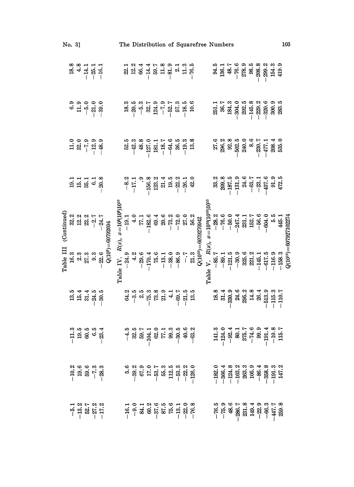|           | No. 3] | The Distribution of Squarefree Numbers |                                                                                                                                                                                                                                                                                                             |  |  |                                                                                                                                                                                                                                                                         |  |  |  |                                                                                                                                                                                                                                                                                                                                                  |                                                                                                                                                                                                                                                                                                                |  |  |  |                                                                                                | 103                                                                                                                                                                                                                                                                         |                                                                                                                                                                                                                                                                                                                               |                                                                                                                                                                                                      |  |  |  |                                                                                                                                                                                                                                                                                                                                   |                             |  |  |  |  |
|-----------|--------|----------------------------------------|-------------------------------------------------------------------------------------------------------------------------------------------------------------------------------------------------------------------------------------------------------------------------------------------------------------|--|--|-------------------------------------------------------------------------------------------------------------------------------------------------------------------------------------------------------------------------------------------------------------------------|--|--|--|--------------------------------------------------------------------------------------------------------------------------------------------------------------------------------------------------------------------------------------------------------------------------------------------------------------------------------------------------|----------------------------------------------------------------------------------------------------------------------------------------------------------------------------------------------------------------------------------------------------------------------------------------------------------------|--|--|--|------------------------------------------------------------------------------------------------|-----------------------------------------------------------------------------------------------------------------------------------------------------------------------------------------------------------------------------------------------------------------------------|-------------------------------------------------------------------------------------------------------------------------------------------------------------------------------------------------------------------------------------------------------------------------------------------------------------------------------|------------------------------------------------------------------------------------------------------------------------------------------------------------------------------------------------------|--|--|--|-----------------------------------------------------------------------------------------------------------------------------------------------------------------------------------------------------------------------------------------------------------------------------------------------------------------------------------|-----------------------------|--|--|--|--|
|           |        |                                        | $\begin{array}{c}\n 8.8 \\  8.4 \\  -14.1 \\  -16.1\n \end{array}$                                                                                                                                                                                                                                          |  |  |                                                                                                                                                                                                                                                                         |  |  |  |                                                                                                                                                                                                                                                                                                                                                  |                                                                                                                                                                                                                                                                                                                |  |  |  |                                                                                                |                                                                                                                                                                                                                                                                             |                                                                                                                                                                                                                                                                                                                               | $34.5$<br>$36.1$<br>$36.1$<br>$36.1$<br>$36.1$<br>$36.1$<br>$36.2$<br>$36.3$<br>$36.3$<br>$36.3$<br>$36.4$<br>$36.3$<br>$36.4$<br>$36.5$<br>$36.5$<br>$36.5$<br>$36.5$<br>$36.5$<br>$36.5$<br>$36.5$ |  |  |  |                                                                                                                                                                                                                                                                                                                                   |                             |  |  |  |  |
|           |        |                                        |                                                                                                                                                                                                                                                                                                             |  |  |                                                                                                                                                                                                                                                                         |  |  |  | $\begin{array}{l} 28.3 \\ -20.5 \\ -10.5 \\ -10.5 \\ -10.5 \\ -10.5 \\ -10.5 \\ -10.5 \\ -10.5 \\ -10.5 \\ -10.5 \\ -10.5 \\ -10.5 \\ -10.5 \\ -10.5 \\ -10.5 \\ -10.5 \\ -10.5 \\ -10.5 \\ -10.5 \\ -10.5 \\ -10.5 \\ -10.5 \\ -10.5 \\ -10.5 \\ -10.5 \\ -10.5 \\ -10.5 \\ -10.5 \\ -10.5 \\ -10.5 \\ -10.5 \\ -10.5 \\ -10.5 \\ -10.5 \\ -10$ |                                                                                                                                                                                                                                                                                                                |  |  |  |                                                                                                |                                                                                                                                                                                                                                                                             | $\begin{array}{r} 11.1 \\ 251.1 \\ 36.7 \\ 38.3 \\ 124.5 \\ -304.5 \\ -145.8 \\ -145.8 \\ -145.8 \\ -145.8 \\ -145.8 \\ -145.8 \\ -145.8 \\ -145.8 \\ -145.8 \\ -145.8 \\ -145.8 \\ -145.8 \\ -145.8 \\ -145.8 \\ -145.8 \\ -145.8 \\ -145.8 \\ -145.8 \\ -145.8 \\ -145.8 \\ -145.8 \\ -145.8 \\ -145.8 \\ -145.8 \\ -145.8$ |                                                                                                                                                                                                      |  |  |  |                                                                                                                                                                                                                                                                                                                                   |                             |  |  |  |  |
|           |        |                                        | $\begin{array}{c} 0.000000 \\ 0.000000 \\ -0.00000 \\ -0.00000 \\ -0.00000 \\ -0.00000 \\ -0.00000 \\ -0.00000 \\ -0.00000 \\ -0.00000 \\ -0.00000 \\ -0.00000 \\ -0.00000 \\ -0.00000 \\ -0.00000 \\ -0.00000 \\ -0.00000 \\ -0.00000 \\ -0.00000 \\ -0.00000 \\ -0.00000 \\ -0.00000 \\ -0.00000 \\ -0.0$ |  |  | Table IV. $R(x)$ , $x=10^8(10^8)10^{10}$<br>$-24.9$<br>$-19.1$<br>$-10.4$<br>$-170.4$<br>$-182.6$<br>$-182.6$<br>$-182.6$<br>$-182.6$<br>$-182.6$<br>$-182.6$<br>$-182.6$<br>$-182.6$<br>$-182.6$<br>$-182.6$<br>$-182.6$<br>$-182.6$<br>$-182.6$<br>$-182.6$<br>$-182$ |  |  |  |                                                                                                                                                                                                                                                                                                                                                  |                                                                                                                                                                                                                                                                                                                |  |  |  |                                                                                                |                                                                                                                                                                                                                                                                             | $\begin{array}{r} 27.6 \\ 27.8 \\ 29.8 \\ 29.8 \\ 29.8 \\ 29.8 \\ -50.0 \\ -50.0 \\ -24.0 \\ -1.4 \\ -1.4 \\ 29.8 \\ -1.4 \\ 29.8 \\ 55.0 \\ 55.0 \\ 55.0 \\ 55.0 \\ 55.0 \\ 55.0 \\ 55.0 \\ 55.0 \\ 55.0 \\ 55.0 \\ 55.0 \\ 55.0 \\ 55.0 \\ 55.0 \\ 55.0 \\ 55.0 \\ 55.0 \\ 55.0 \\ 55.0 \\ 55.0 \\ 55.0 \\ 55.0 \\$         |                                                                                                                                                                                                      |  |  |  |                                                                                                                                                                                                                                                                                                                                   |                             |  |  |  |  |
|           |        |                                        | $211.108$<br>$21.108$<br>$-8.08$                                                                                                                                                                                                                                                                            |  |  |                                                                                                                                                                                                                                                                         |  |  |  |                                                                                                                                                                                                                                                                                                                                                  |                                                                                                                                                                                                                                                                                                                |  |  |  | $-8.2$<br>$-17.3$<br>$-19.3$<br>$-19.3$<br>$-19.3$<br>$-19.3$<br>$-19.3$<br>$-19.3$<br>$-19.3$ |                                                                                                                                                                                                                                                                             |                                                                                                                                                                                                                                                                                                                               |                                                                                                                                                                                                      |  |  |  | $\begin{array}{r} 33.2 \\ 23.3 \\ 23.6 \\ 23.7 \\ -121.3 \\ -121.4 \\ -62.7 \\ -121.6 \\ -121.6 \\ -121.6 \\ -121.6 \\ -121.5 \\ -121.5 \\ -121.5 \\ -121.5 \\ -121.5 \\ -121.5 \\ -121.5 \\ -121.5 \\ -121.5 \\ -121.5 \\ -121.5 \\ -121.5 \\ -121.5 \\ -121.5 \\ -121.5 \\ -121.5 \\ -121.5 \\ -121.5 \\ -121.5 \\ -121.5 \\ -$ |                             |  |  |  |  |
|           |        |                                        |                                                                                                                                                                                                                                                                                                             |  |  |                                                                                                                                                                                                                                                                         |  |  |  |                                                                                                                                                                                                                                                                                                                                                  |                                                                                                                                                                                                                                                                                                                |  |  |  |                                                                                                |                                                                                                                                                                                                                                                                             |                                                                                                                                                                                                                                                                                                                               |                                                                                                                                                                                                      |  |  |  |                                                                                                                                                                                                                                                                                                                                   |                             |  |  |  |  |
| Table III |        |                                        |                                                                                                                                                                                                                                                                                                             |  |  |                                                                                                                                                                                                                                                                         |  |  |  |                                                                                                                                                                                                                                                                                                                                                  |                                                                                                                                                                                                                                                                                                                |  |  |  |                                                                                                | $Q(10^{10}) = 60732$<br>$Q(10^{10}) = 60732$<br>$-85.7$<br>$-85.7$<br>$-89.1$<br>$-76.6$<br>$-121.5$<br>$-76.6$<br>$-121.5$<br>$-76.6$<br>$-89.1$<br>$-76.6$<br>$-80.2$<br>$-76.6$<br>$-80.2$<br>$-76.6$<br>$-80.2$<br>$-81.1$<br>$-60.4$<br>$-145.1$<br>$-60.5$<br>$-60.5$ |                                                                                                                                                                                                                                                                                                                               |                                                                                                                                                                                                      |  |  |  |                                                                                                                                                                                                                                                                                                                                   | $Q(10^{12}) = 607927102274$ |  |  |  |  |
|           |        |                                        | $\begin{array}{c} 15.4 \\ 25.4 \\ 35.4 \\ 1 \end{array}$                                                                                                                                                                                                                                                    |  |  |                                                                                                                                                                                                                                                                         |  |  |  |                                                                                                                                                                                                                                                                                                                                                  | $\begin{array}{c} 2\\ 3\\ 3\\ 4\\ 3\\ 6\\ 1\\ 6\\ 1\\ 6\\ 1\\ 6\\ 1\\ 6\\ 1\\ 6\\ 1\\ 6\\ 1\\ 6\\ 1\\ 6\\ 1\\ 6\\ 1\\ 6\\ 1\\ 6\\ 1\\ 6\\ 1\\ 6\\ 1\\ 6\\ 1\\ 6\\ 1\\ 6\\ 1\\ 6\\ 1\\ 6\\ 1\\ 6\\ 1\\ 6\\ 1\\ 6\\ 1\\ 6\\ 1\\ 6\\ 1\\ 6\\ 1\\ 6\\ 1\\ 6\\ 1\\ 6\\ 1\\ 6\\ 1\\ 6\\ 1\\ 6\\ 1\\ 6\\ 1\\ 6\\ 1\\$ |  |  |  |                                                                                                |                                                                                                                                                                                                                                                                             |                                                                                                                                                                                                                                                                                                                               |                                                                                                                                                                                                      |  |  |  |                                                                                                                                                                                                                                                                                                                                   |                             |  |  |  |  |
|           |        |                                        | $-11.3$<br>$19.5$<br>$6.5$<br>$6.5$<br>$-23.4$                                                                                                                                                                                                                                                              |  |  |                                                                                                                                                                                                                                                                         |  |  |  |                                                                                                                                                                                                                                                                                                                                                  |                                                                                                                                                                                                                                                                                                                |  |  |  |                                                                                                |                                                                                                                                                                                                                                                                             |                                                                                                                                                                                                                                                                                                                               | $\begin{array}{r} 141.3 \\ -124.0 \\ -82.4 \\ -86.7 \\ -74.6 \\ -124.7 \\ -124.7 \\ -124.8 \\ -124.8 \\ -124.8 \\ -124.7 \\ -15.7 \\ \hline \end{array}$                                             |  |  |  |                                                                                                                                                                                                                                                                                                                                   |                             |  |  |  |  |
|           |        |                                        | $\begin{array}{r} -10.2 \\ 19.6 \\ 59.6 \\ -28.3 \\ -8.3 \end{array}$                                                                                                                                                                                                                                       |  |  |                                                                                                                                                                                                                                                                         |  |  |  |                                                                                                                                                                                                                                                                                                                                                  |                                                                                                                                                                                                                                                                                                                |  |  |  |                                                                                                |                                                                                                                                                                                                                                                                             |                                                                                                                                                                                                                                                                                                                               | $\begin{array}{r} -182.0 \\ -366.4 \\ -366.3 \\ -124.8 \\ -163.3 \\ -163.3 \\ -86.4 \\ -86.3 \\ -124.3 \\ -124.2 \\ -124.2 \\ -124.2 \\ -147.2 \\ \end{array}$                                       |  |  |  |                                                                                                                                                                                                                                                                                                                                   |                             |  |  |  |  |
|           |        |                                        | $-5.1$<br>$-13.2$<br>$52.7$<br>$-27.2$<br>$-17.2$                                                                                                                                                                                                                                                           |  |  |                                                                                                                                                                                                                                                                         |  |  |  |                                                                                                                                                                                                                                                                                                                                                  | $-16.3$<br>$-9.3$<br>$-8.3$<br>$-8.5$<br>$-8.5$<br>$-8.5$<br>$-8.5$<br>$-8.5$<br>$-8.5$<br>$-8.5$<br>$-8.8$<br>$-8.8$<br>$-8.8$                                                                                                                                                                                |  |  |  |                                                                                                |                                                                                                                                                                                                                                                                             |                                                                                                                                                                                                                                                                                                                               | $-76.5$<br>$-75.9$<br>$-84.6$<br>$-84.7$<br>$-84.3$<br>$-149.3$<br>$-84.7$<br>$-149.3$<br>$-447.7$<br>$-447.7$                                                                                       |  |  |  |                                                                                                                                                                                                                                                                                                                                   |                             |  |  |  |  |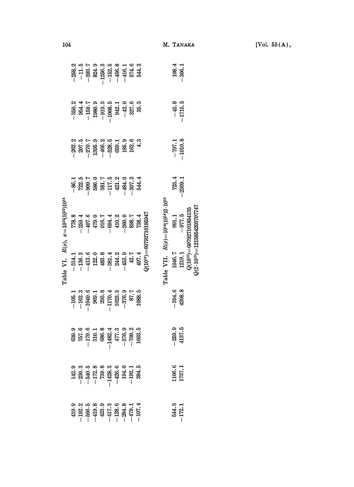|                                                |  |  |                                                                                                                                                                                                                                                                                                                                                   | $-258.2$<br>$-11.5$<br>$-393.7$<br>$-393.3$<br>$-393.5$<br>$-393.5$<br>$-1256.3$<br>$-456.3$<br>$-16.7$<br>$-16.7$<br>$-16.3$<br>$-16.3$<br>$-16.3$                                                                                                                                                                                |  |  |                             |                                           | $108.4$<br>$-306.1$     |                                                                                                   |                                       |
|------------------------------------------------|--|--|---------------------------------------------------------------------------------------------------------------------------------------------------------------------------------------------------------------------------------------------------------------------------------------------------------------------------------------------------|------------------------------------------------------------------------------------------------------------------------------------------------------------------------------------------------------------------------------------------------------------------------------------------------------------------------------------|--|--|-----------------------------|-------------------------------------------|-------------------------|---------------------------------------------------------------------------------------------------|---------------------------------------|
|                                                |  |  |                                                                                                                                                                                                                                                                                                                                                   | $\begin{array}{r} -350.2 \\ -354.4 \\ -159.3 \\ -159.3 \\ -93.6 \\ -93.6 \\ -1008.5 \\ -1008.5 \\ -1008.5 \\ -1008.5 \\ -1008.5 \\ -1008.5 \\ -1008.5 \\ -1008.5 \\ -1008.5 \\ -1008.5 \\ -1008.5 \\ -1008.5 \\ -1008.5 \\ -1008.5 \\ -1008.5 \\ -1008.5 \\ -1008.5 \\ -1008.5 \\ -1008.5 \\ -1008.5 \\ -1008.5 \\ -1008$          |  |  |                             |                                           | $-45.8$<br>-1715.5      |                                                                                                   |                                       |
| Table VI. $R(x)$ , $x=10^{12}(10^{12})10^{14}$ |  |  | $\begin{array}{cccccc} 282.3 \\ 287.5 \\ 297.5 \\ -1 & 299.5 \\ -1 & 299.5 \\ -1 & 299.5 \\ -1 & 299.5 \\ -1 & 299.5 \\ -1 & 299.5 \\ -1 & 299.5 \\ -1 & 299.5 \\ -1 & 299.5 \\ -1 & 299.5 \\ -1 & 299.5 \\ -1 & 299.5 \\ -1 & 299.5 \\ -1 & 2 & 2 & 2 \\ 2 & 2 & 2 & 2 \\ 2 & 2 & 2 & 2 \\ 2 & 2 & 2 & 2 \\ 2 & 2 & 2 & 2 \\ $                   |                                                                                                                                                                                                                                                                                                                                    |  |  | $-797.1$<br>-1010.8         |                                           |                         |                                                                                                   |                                       |
|                                                |  |  | $\begin{array}{r} -86.1 \\ -76.8 \\ -10.0 \\ -86.0 \\ -11.0 \\ -11.0 \\ -11.0 \\ -11.0 \\ -11.0 \\ -11.0 \\ -11.0 \\ -11.0 \\ -11.0 \\ -11.0 \\ -11.0 \\ -11.0 \\ -11.0 \\ -11.0 \\ -11.0 \\ -11.0 \\ -11.0 \\ -11.0 \\ -11.0 \\ -11.0 \\ -11.0 \\ -11.0 \\ -11.0 \\ -11.0 \\ -11.0 \\ -11.0 \\ -11.0 \\ -11.0 \\ -11.0 \\ -11.0 \\ -11.0 \\ -11$ |                                                                                                                                                                                                                                                                                                                                    |  |  |                             |                                           | $723.4$<br>$-2309.1$    |                                                                                                   |                                       |
|                                                |  |  |                                                                                                                                                                                                                                                                                                                                                   | $\begin{array}{r} 778.8\\ 778.3\\ -259.4\\ -407.5\\ -407.5\\ -409.4\\ -409.4\\ -409.4\\ -409.4\\ -409.4\\ -409.4\\ -409.4\\ -409.4\\ -409.4\\ -409.4\\ -409.4\\ -409.4\\ -409.4\\ -409.4\\ -409.4\\ -409.4\\ -409.4\\ -409.4\\ -409.4\\ -409.4\\ -409.4\\ -409.4\\ -409.4\\ -409.4\\ -409.4\\ -40$                                 |  |  | $(10^{14}) = 6079271018594$ | $R(x) = 10^{14} (10^{14})2 \cdot 10^{11}$ |                         | $\begin{array}{rl} 1046.7 & 991.1 \\ 1219.1 & -977.5 \\ Q(10^{10}) = 607927101854135 \end{array}$ | $(2 \cdot 10^{15}) = 121585420370774$ |
|                                                |  |  |                                                                                                                                                                                                                                                                                                                                                   | $\begin{array}{r} -314.1 \\ -136.3 \\ -133.6 \\ -133.4 \\ -132.0 \\ -83.4 \\ -83.4 \\ -143.3 \\ -143.4 \\ -143.4 \\ -143.4 \\ -143.4 \\ -143.4 \\ -143.4 \\ -143.4 \\ -143.4 \\ -143.4 \\ -143.4 \\ -143.4 \\ -143.4 \\ -143.4 \\ -143.4 \\ -143.4 \\ -143.4 \\ -143.4 \\ -143.4 \\ -143.4 \\ -143.4 \\ -143.4 \\ -143.4 \\ -143.$ |  |  |                             | Table VII.                                |                         |                                                                                                   |                                       |
|                                                |  |  |                                                                                                                                                                                                                                                                                                                                                   | $\begin{array}{r} -105.1 \\ -163.3 \\ -1049.6 \\ -1049.7 \\ -969.1 \\ -803.3 \\ -1170.4 \\ -1170.3 \\ -376.9 \\ -87.7 \\ -87.7 \\ -1170.3 \\ -1023.5 \\ -103.5 \\ -103.5 \\ -103.5 \\ -103.5 \\ -103.5 \\ -103.5 \\ -103.5 \\ -103.5 \\ -103.5 \\ -103.5 \\ -103.5 \\ -103.5 \\ -103.5 \\ -103.5 \\ -103.5 \\ -103.5 \\ -103.5$    |  |  |                             |                                           | $-394.6$<br>$4208.8$    |                                                                                                   |                                       |
|                                                |  |  |                                                                                                                                                                                                                                                                                                                                                   | $-179.8$<br>$-179.6$<br>$-179.6$<br>$-179.6$<br>$-179.8$<br>$-1482.4$<br>$-1482.3$<br>$-160.2$<br>$-760.2$<br>$-760.2$                                                                                                                                                                                                             |  |  |                             |                                           | $-259.9$<br>4137.5      |                                                                                                   |                                       |
|                                                |  |  |                                                                                                                                                                                                                                                                                                                                                   | $\begin{array}{r} 142.9 \\ -230.3 \\ -540.5 \\ -172.8 \\ -172.3 \\ -142.8 \\ -142.6 \\ -142.5 \\ -142.5 \\ -142.5 \\ -142.5 \\ -142.5 \\ -142.5 \\ -142.5 \\ -142.5 \\ -142.5 \\ -142.5 \\ -142.5 \\ -142.5 \\ -142.5 \\ -142.5 \\ -142.5 \\ -142.5 \\ -142.5 \\ -142.5 \\ -142.5 \\ -142.5 \\ -142.5 \\ -142.5 \\ -142.5 \\ -14$  |  |  |                             |                                           | $\frac{1106.6}{1737.1}$ |                                                                                                   |                                       |
|                                                |  |  |                                                                                                                                                                                                                                                                                                                                                   | $\begin{array}{l} 419.9 \\ 419.2 \\ -192.3 \\ -195.8 \\ -195.8 \\ -195.8 \\ -195.8 \\ -195.8 \\ -195.8 \\ -195.8 \\ -195.8 \\ -195.8 \\ -195.8 \\ -195.8 \\ -195.8 \\ -195.8 \\ -195.8 \\ -195.8 \\ -195.8 \\ -195.8 \\ -195.8 \\ -195.8 \\ -195.8 \\ -195.8 \\ -195.8 \\ -195.8 \\ -195.8 \\ -195.8 \\ -195.8 \\ -195.8 \\ -19$   |  |  |                             |                                           | 544.3<br>-172.1         |                                                                                                   |                                       |

104